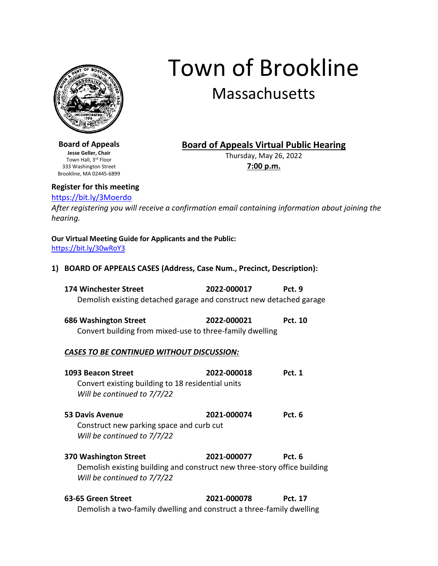

Town of Brookline Massachusetts

**Board of Appeals Jesse Geller, Chair** Town Hall, 3rd Floor 333 Washington Street Brookline, MA 02445-6899

# **Board of Appeals Virtual Public Hearing**

Thursday, May 26, 2022 **7:00 p.m.**

# **Register for this meeting**

# <https://bit.ly/3Moerdo>

*After registering you will receive a confirmation email containing information about joining the hearing.*

**Our Virtual Meeting Guide for Applicants and the Public:** <https://bit.ly/30wRoY3>

**1) BOARD OF APPEALS CASES (Address, Case Num., Precinct, Description):**

| 174 Winchester Street                                               | 2022-000017 | Pct. 9 |
|---------------------------------------------------------------------|-------------|--------|
| Demolish existing detached garage and construct new detached garage |             |        |

**686 Washington Street 2022-000021 Pct. 10** Convert building from mixed-use to three-family dwelling

#### *CASES TO BE CONTINUED WITHOUT DISCUSSION:*

| 1093 Beacon Street<br>Convert existing building to 18 residential units<br>Will be continued to 7/7/22  | 2022-000018 | <b>Pct. 1</b> |
|---------------------------------------------------------------------------------------------------------|-------------|---------------|
| <b>53 Davis Avenue</b><br>Construct new parking space and curb cut<br>Will be continued to 7/7/22       | 2021-000074 | Pct. 6        |
| 370 Washington Street                                                                                   | 2021-000077 | Pct. 6        |
| Demolish existing building and construct new three-story office building<br>Will be continued to 7/7/22 |             |               |

**63-65 Green Street 2021-000078 Pct. 17** Demolish a two-family dwelling and construct a three-family dwelling